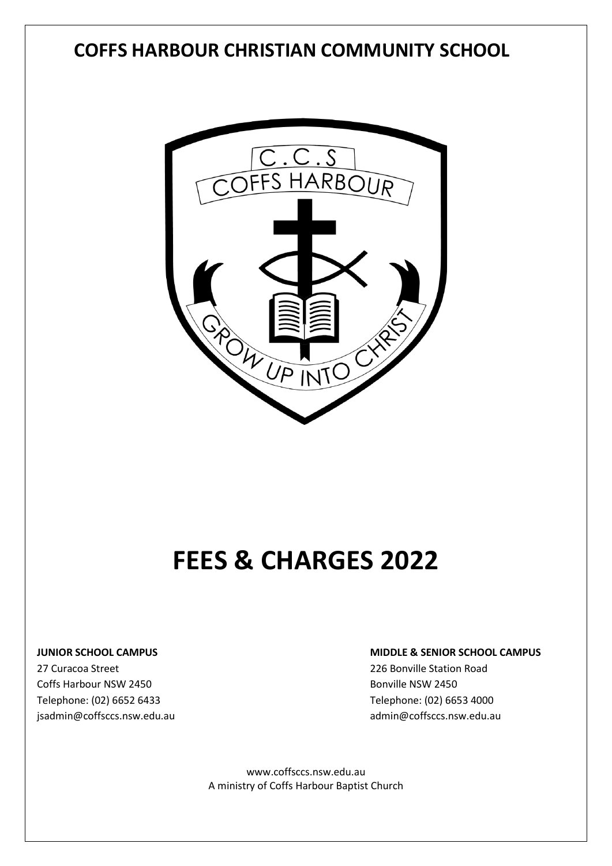# **COFFS HARBOUR CHRISTIAN COMMUNITY SCHOOL**



# **FEES & CHARGES 2022**

27 Curacoa Street 226 Bonville Station Road Coffs Harbour NSW 2450 **Bonville NSW 2450** Bonville NSW 2450 Telephone: (02) 6652 6433 Telephone: (02) 6653 4000

#### **JUNIOR SCHOOL CAMPUS MIDDLE & SENIOR SCHOOL CAMPUS**

[jsadmin@coffsccs.nsw.edu.au](mailto:jsadmin@coffsccs.nsw.edu.au) admin@coffsccs.nsw.edu.au admin@coffsccs.nsw.edu.au

[www.coffsccs.nsw.edu.au](http://www.coffsccs.nsw.edu.au/) A ministry of Coffs Harbour Baptist Church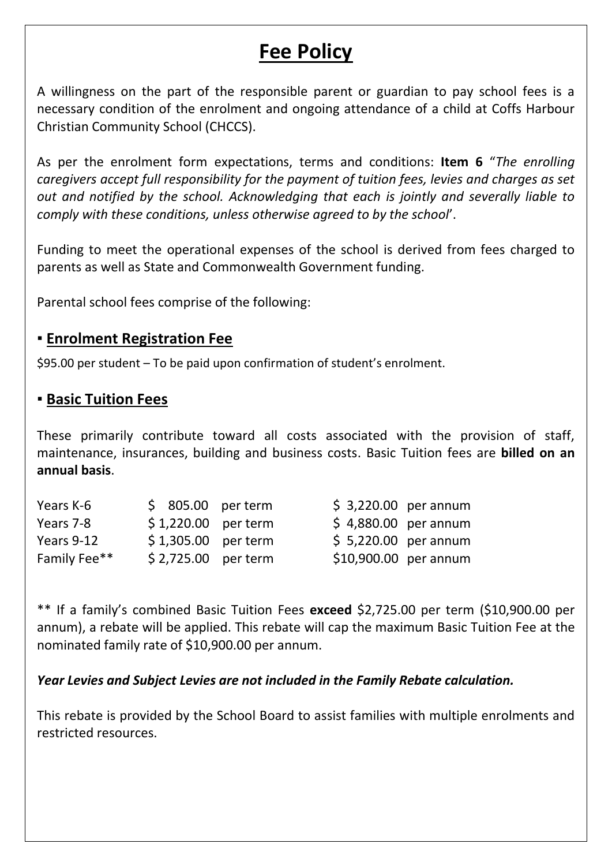# **Fee Policy**

A willingness on the part of the responsible parent or guardian to pay school fees is a necessary condition of the enrolment and ongoing attendance of a child at Coffs Harbour Christian Community School (CHCCS).

As per the enrolment form expectations, terms and conditions: **Item 6** "*The enrolling caregivers accept full responsibility for the payment of tuition fees, levies and charges as set out and notified by the school. Acknowledging that each is jointly and severally liable to comply with these conditions, unless otherwise agreed to by the school*'.

Funding to meet the operational expenses of the school is derived from fees charged to parents as well as State and Commonwealth Government funding.

Parental school fees comprise of the following:

#### ▪ **Enrolment Registration Fee**

\$95.00 per student – To be paid upon confirmation of student's enrolment.

#### ▪ **Basic Tuition Fees**

These primarily contribute toward all costs associated with the provision of staff, maintenance, insurances, building and business costs. Basic Tuition fees are **billed on an annual basis**.

|  | $$3,220.00$ per annum                                                                      |                                                                       |
|--|--------------------------------------------------------------------------------------------|-----------------------------------------------------------------------|
|  |                                                                                            |                                                                       |
|  |                                                                                            |                                                                       |
|  |                                                                                            |                                                                       |
|  | $$805.00$ per term<br>$$1,220.00$ per term<br>$$1,305.00$ per term<br>$$2,725.00$ per term | \$4,880.00 per annum<br>\$5,220.00 per annum<br>\$10,900.00 per annum |

\*\* If a family's combined Basic Tuition Fees **exceed** \$2,725.00 per term (\$10,900.00 per annum), a rebate will be applied. This rebate will cap the maximum Basic Tuition Fee at the nominated family rate of \$10,900.00 per annum.

#### *Year Levies and Subject Levies are not included in the Family Rebate calculation.*

This rebate is provided by the School Board to assist families with multiple enrolments and restricted resources.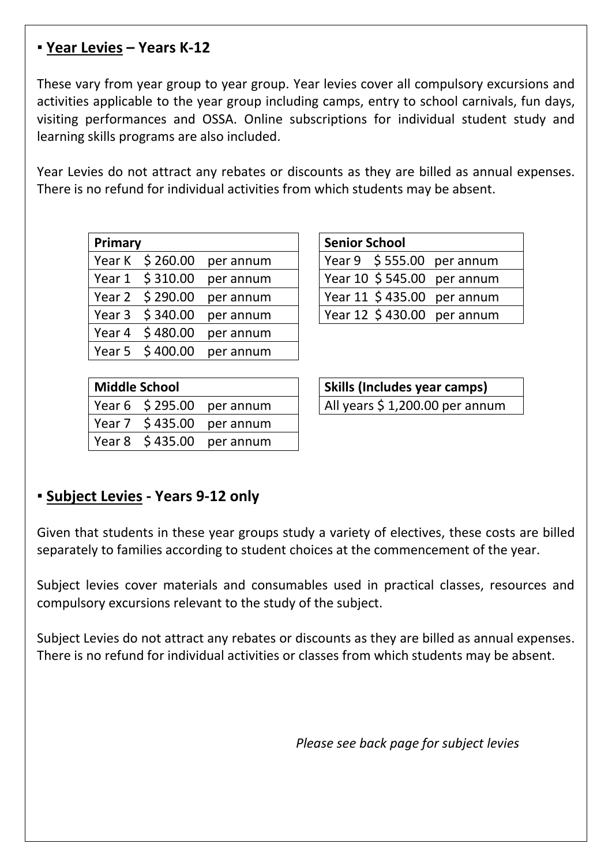#### **▪ Year Levies – Years K-12**

These vary from year group to year group. Year levies cover all compulsory excursions and activities applicable to the year group including camps, entry to school carnivals, fun days, visiting performances and OSSA. Online subscriptions for individual student study and learning skills programs are also included.

Year Levies do not attract any rebates or discounts as they are billed as annual expenses. There is no refund for individual activities from which students may be absent.

| Primary |                 |                           | <b>Senior School</b> |                              |
|---------|-----------------|---------------------------|----------------------|------------------------------|
|         |                 | Year K \$260.00 per annum |                      | Year $9$ \$ 555.00 per annum |
|         | Year 1 \$310.00 | per annum                 |                      | Year 10 \$ 545.00 per annum  |
|         | Year 2 \$290.00 | per annum                 |                      | Year 11 \$435.00 per annum   |
|         | Year 3 \$340.00 | per annum                 |                      | Year 12 \$430.00 per annum   |
|         | Year 4 \$480.00 | per annum                 |                      |                              |
|         | Year 5 \$400.00 | per annum                 |                      |                              |

| <b>Senior School</b> |  |                             |  |  |  |
|----------------------|--|-----------------------------|--|--|--|
|                      |  | Year $9$ \$555.00 per annum |  |  |  |
|                      |  | Year 10 \$ 545.00 per annum |  |  |  |
|                      |  | Year 11 \$435.00 per annum  |  |  |  |
|                      |  | Year 12 \$430.00 per annum  |  |  |  |

| <b>Middle School</b> |                                | Skills (Includes year camps)   |
|----------------------|--------------------------------|--------------------------------|
|                      | Year $6 \div 295.00$ per annum | All years \$1,200.00 per annum |
|                      | $Year 7 \$435.00 per annum$    |                                |
|                      | Year $8 \div 435.00$ per annum |                                |

| <b>Skills (Includes year camps)</b> |
|-------------------------------------|
| All years \$ 1,200.00 per annum     |

#### **▪ Subject Levies - Years 9-12 only**

Given that students in these year groups study a variety of electives, these costs are billed separately to families according to student choices at the commencement of the year.

Subject levies cover materials and consumables used in practical classes, resources and compulsory excursions relevant to the study of the subject.

Subject Levies do not attract any rebates or discounts as they are billed as annual expenses. There is no refund for individual activities or classes from which students may be absent.

*Please see back page for subject levies*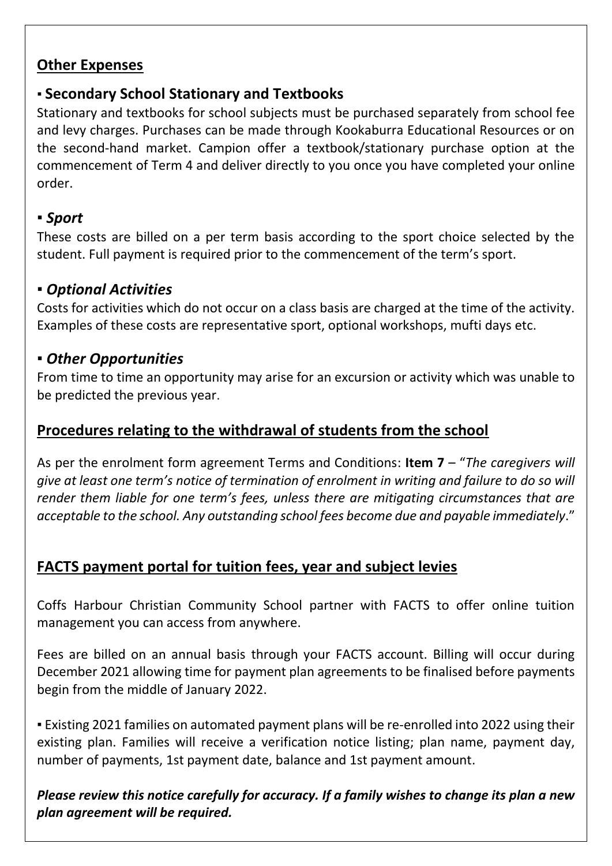#### **Other Expenses**

## ▪ **Secondary School Stationary and Textbooks**

Stationary and textbooks for school subjects must be purchased separately from school fee and levy charges. Purchases can be made through Kookaburra Educational Resources or on the second-hand market. Campion offer a textbook/stationary purchase option at the commencement of Term 4 and deliver directly to you once you have completed your online order.

### ▪ *Sport*

These costs are billed on a per term basis according to the sport choice selected by the student. Full payment is required prior to the commencement of the term's sport.

### ▪ *Optional Activities*

Costs for activities which do not occur on a class basis are charged at the time of the activity. Examples of these costs are representative sport, optional workshops, mufti days etc.

### ▪ *Other Opportunities*

From time to time an opportunity may arise for an excursion or activity which was unable to be predicted the previous year.

### **Procedures relating to the withdrawal of students from the school**

As per the enrolment form agreement Terms and Conditions: **Item 7** – "*The caregivers will give at least one term's notice of termination of enrolment in writing and failure to do so will render them liable for one term's fees, unless there are mitigating circumstances that are acceptable to the school. Any outstanding school fees become due and payable immediately*."

## **FACTS payment portal for tuition fees, year and subject levies**

Coffs Harbour Christian Community School partner with FACTS to offer online tuition management you can access from anywhere.

Fees are billed on an annual basis through your FACTS account. Billing will occur during December 2021 allowing time for payment plan agreements to be finalised before payments begin from the middle of January 2022.

▪ Existing 2021 families on automated payment plans will be re-enrolled into 2022 using their existing plan. Families will receive a verification notice listing; plan name, payment day, number of payments, 1st payment date, balance and 1st payment amount.

*Please review this notice carefully for accuracy. If a family wishes to change its plan a new plan agreement will be required.*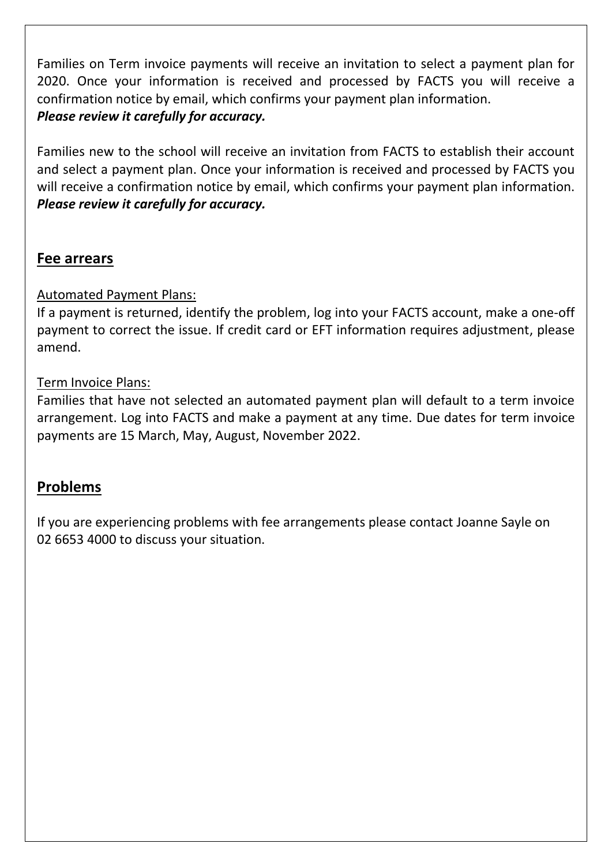Families on Term invoice payments will receive an invitation to select a payment plan for 2020. Once your information is received and processed by FACTS you will receive a confirmation notice by email, which confirms your payment plan information. *Please review it carefully for accuracy.*

Families new to the school will receive an invitation from FACTS to establish their account and select a payment plan. Once your information is received and processed by FACTS you will receive a confirmation notice by email, which confirms your payment plan information. *Please review it carefully for accuracy.*

#### **Fee arrears**

#### Automated Payment Plans:

If a payment is returned, identify the problem, log into your FACTS account, make a one-off payment to correct the issue. If credit card or EFT information requires adjustment, please amend.

#### Term Invoice Plans:

Families that have not selected an automated payment plan will default to a term invoice arrangement. Log into FACTS and make a payment at any time. Due dates for term invoice payments are 15 March, May, August, November 2022.

#### **Problems**

If you are experiencing problems with fee arrangements please contact Joanne Sayle on 02 6653 4000 to discuss your situation.